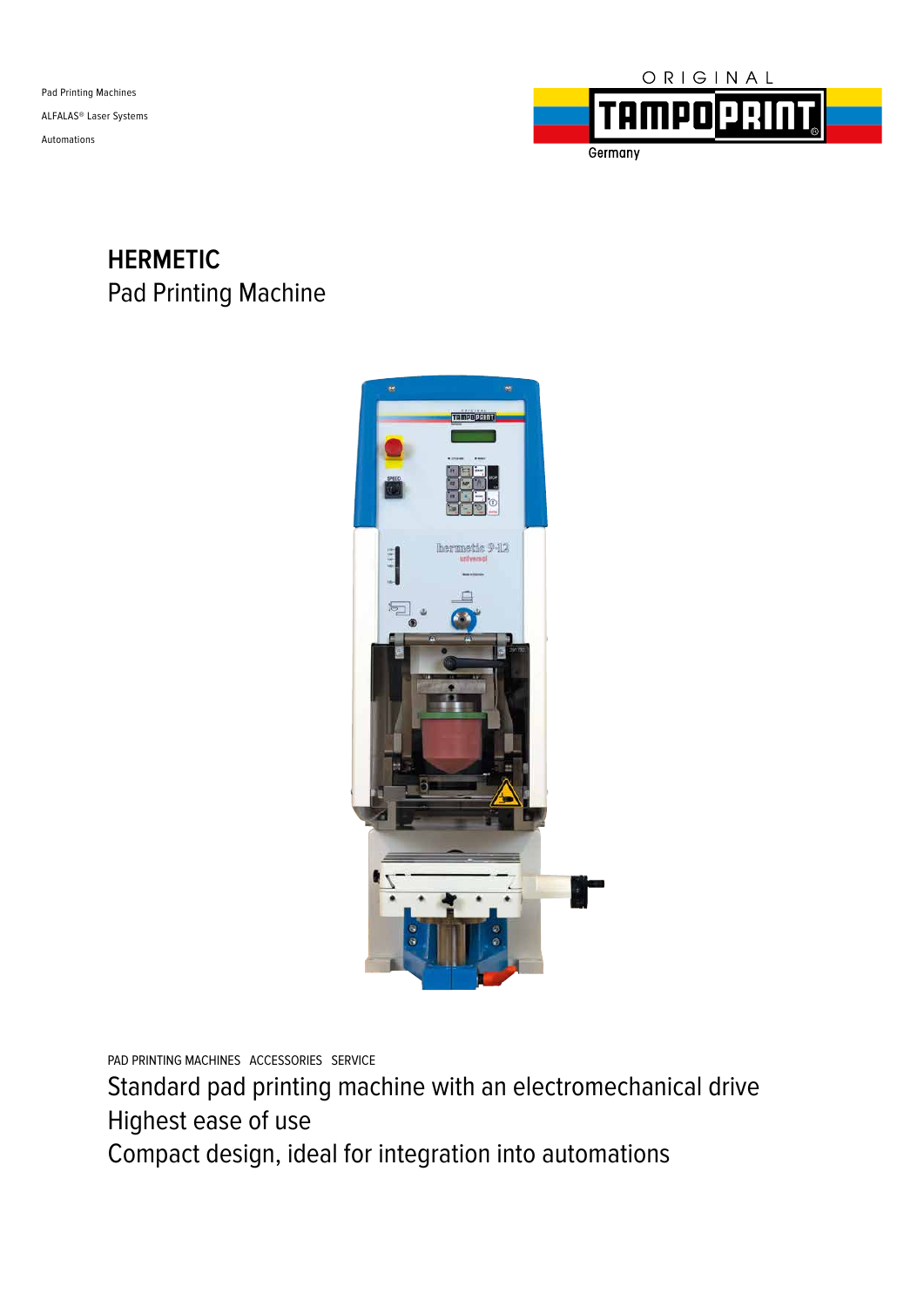Pad Printing Machines ALFALAS® Laser Systems Automations



### **HERMETIC** Pad Printing Machine



PAD PRINTING MACHINES ACCESSORIES SERVICE

Standard pad printing machine with an electromechanical drive Highest ease of use

Compact design, ideal for integration into automations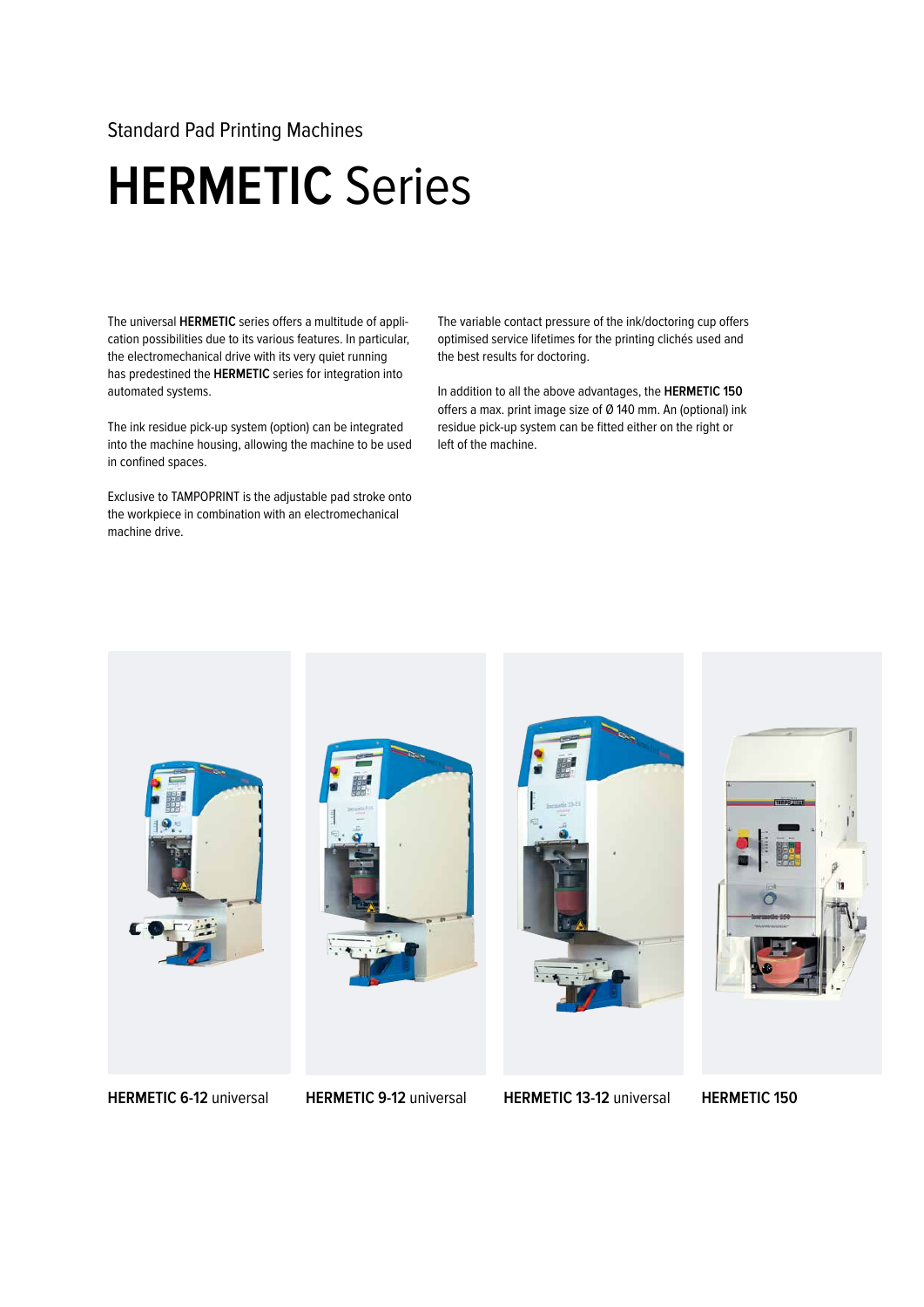### Standard Pad Printing Machines

## **HERMETIC** Series

The universal **HERMETIC** series offers a multitude of application possibilities due to its various features. In particular, the electromechanical drive with its very quiet running has predestined the **HERMETIC** series for integration into automated systems.

The ink residue pick-up system (option) can be integrated into the machine housing, allowing the machine to be used in confined spaces.

Exclusive to TAMPOPRINT is the adjustable pad stroke onto the workpiece in combination with an electromechanical machine drive.

The variable contact pressure of the ink/doctoring cup offers optimised service lifetimes for the printing clichés used and the best results for doctoring.

In addition to all the above advantages, the **HERMETIC 150** offers a max. print image size of Ø 140 mm. An (optional) ink residue pick-up system can be fitted either on the right or left of the machine.



**HERMETIC 6-12** universal **HERMETIC 9-12** universal **HERMETIC 13-12** universal **HERMETIC 150**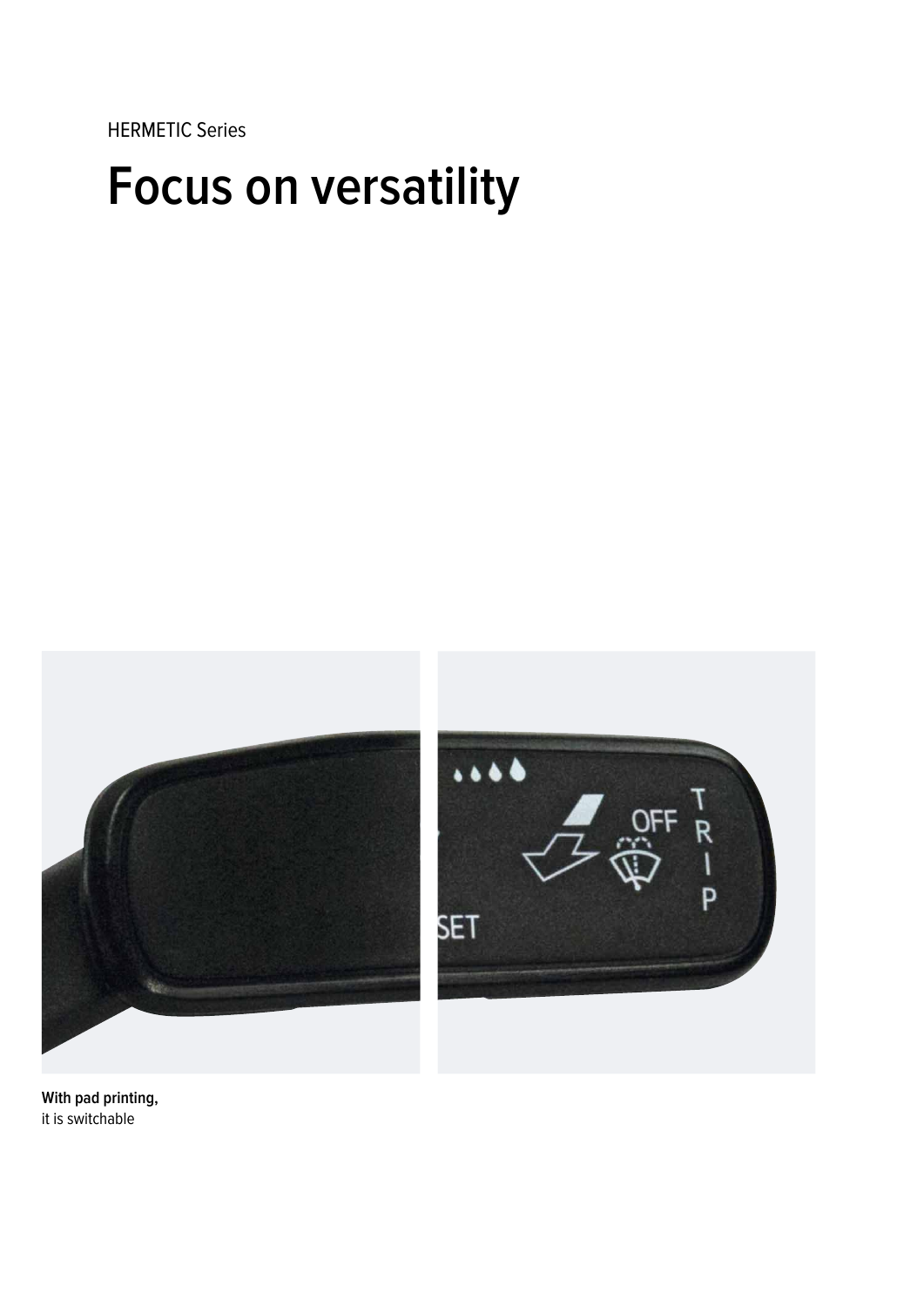HERMETIC Series

# **Focus on versatility**



**With pad printing,** it is switchable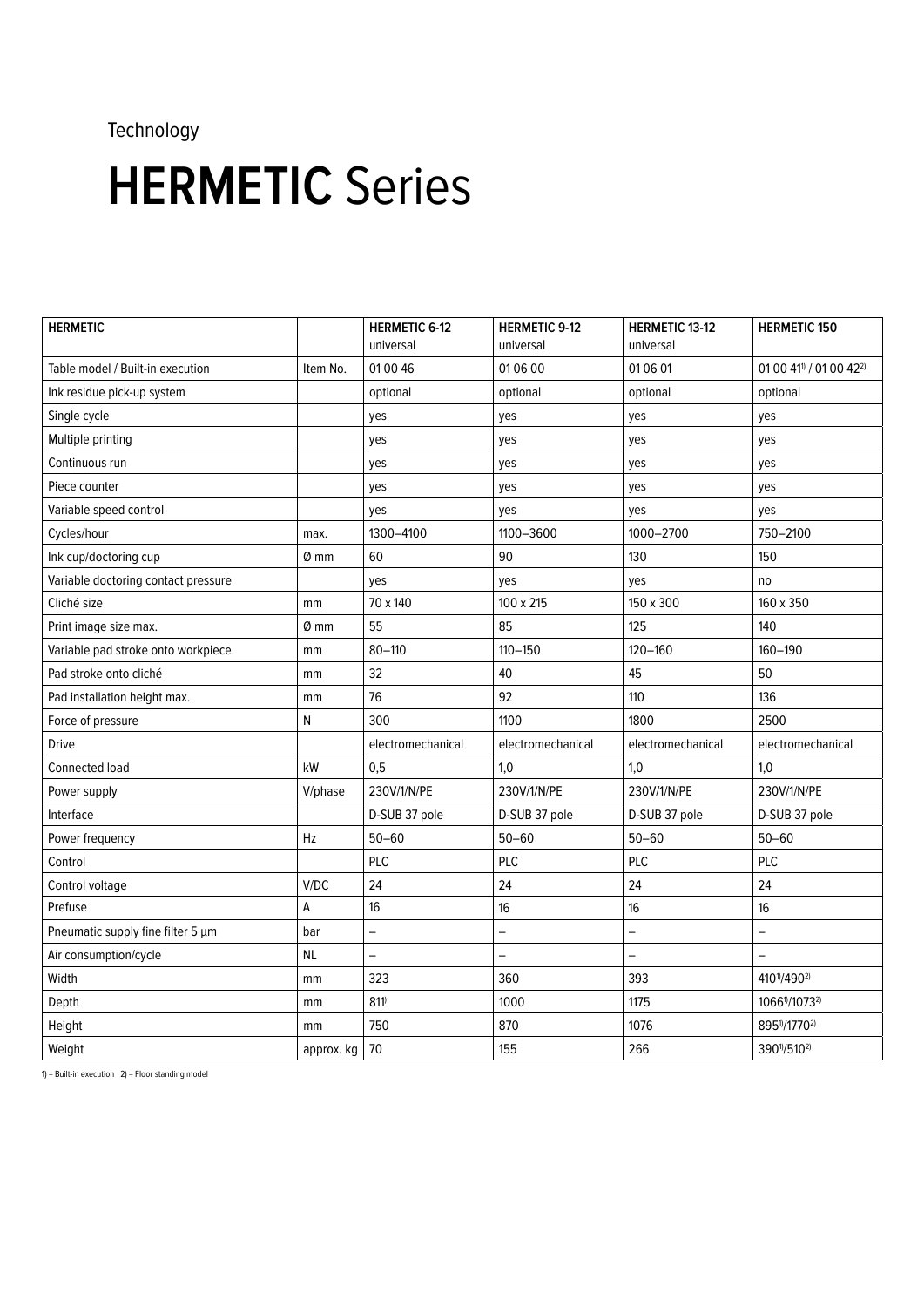### Technology

# **HERMETIC** Series

| <b>HERMETIC</b>                     |            | <b>HERMETIC 6-12</b><br>universal | <b>HERMETIC 9-12</b><br>universal | HERMETIC 13-12<br>universal | <b>HERMETIC 150</b>                           |
|-------------------------------------|------------|-----------------------------------|-----------------------------------|-----------------------------|-----------------------------------------------|
| Table model / Built-in execution    | Item No.   | 01 00 46                          | 01 06 00                          | 01 06 01                    | 01 00 41 <sup>1</sup> / 01 00 42 <sup>2</sup> |
| Ink residue pick-up system          |            | optional                          | optional                          | optional                    | optional                                      |
| Single cycle                        |            | yes                               | yes                               | yes                         | yes                                           |
| Multiple printing                   |            | yes                               | yes                               | yes                         | yes                                           |
| Continuous run                      |            | yes                               | yes                               | yes                         | yes                                           |
| Piece counter                       |            | yes                               | yes                               | yes                         | yes                                           |
| Variable speed control              |            | yes                               | yes                               | yes                         | yes                                           |
| Cycles/hour                         | max.       | 1300-4100                         | 1100-3600                         | 1000-2700                   | 750-2100                                      |
| Ink cup/doctoring cup               | Ø mm       | 60                                | 90                                | 130                         | 150                                           |
| Variable doctoring contact pressure |            | yes                               | yes                               | yes                         | no                                            |
| Cliché size                         | mm         | 70 x 140                          | 100 x 215                         | 150 x 300                   | 160 x 350                                     |
| Print image size max.               | 0 mm       | 55                                | 85                                | 125                         | 140                                           |
| Variable pad stroke onto workpiece  | mm         | $80 - 110$                        | $110 - 150$                       | 120-160                     | 160-190                                       |
| Pad stroke onto cliché              | mm         | 32                                | 40                                | 45                          | 50                                            |
| Pad installation height max.        | mm         | 76                                | 92                                | 110                         | 136                                           |
| Force of pressure                   | N          | 300                               | 1100                              | 1800                        | 2500                                          |
| <b>Drive</b>                        |            | electromechanical                 | electromechanical                 | electromechanical           | electromechanical                             |
| Connected load                      | kW         | 0,5                               | 1.0                               | 1,0                         | 1,0                                           |
| Power supply                        | V/phase    | 230V/1/N/PE                       | 230V/1/N/PE                       | 230V/1/N/PE                 | 230V/1/N/PE                                   |
| Interface                           |            | D-SUB 37 pole                     | D-SUB 37 pole                     | D-SUB 37 pole               | D-SUB 37 pole                                 |
| Power frequency                     | Hz         | $50 - 60$                         | $50 - 60$                         | $50 - 60$                   | $50 - 60$                                     |
| Control                             |            | PLC                               | PLC                               | PLC                         | PLC                                           |
| Control voltage                     | V/DC       | 24                                | 24                                | 24                          | 24                                            |
| Prefuse                             | А          | 16                                | 16                                | 16                          | 16                                            |
| Pneumatic supply fine filter 5 µm   | bar        | $\qquad \qquad -$                 |                                   | <sup>-</sup>                | $\overline{\phantom{0}}$                      |
| Air consumption/cycle               | <b>NL</b>  | $\overline{\phantom{0}}$          |                                   | $\overline{\phantom{0}}$    |                                               |
| Width                               | mm         | 323                               | 360                               | 393                         | 410 <sup>1</sup> /490 <sup>2)</sup>           |
| Depth                               | mm         | 811                               | 1000                              | 1175                        | 10661/10732)                                  |
| Height                              | mm         | 750                               | 870                               | 1076                        | 8951/17702)                                   |
| Weight                              | approx. kg | 70                                | 155                               | 266                         | 3901/5102)                                    |

1) = Built-in execution  $2$ ) = Floor standing model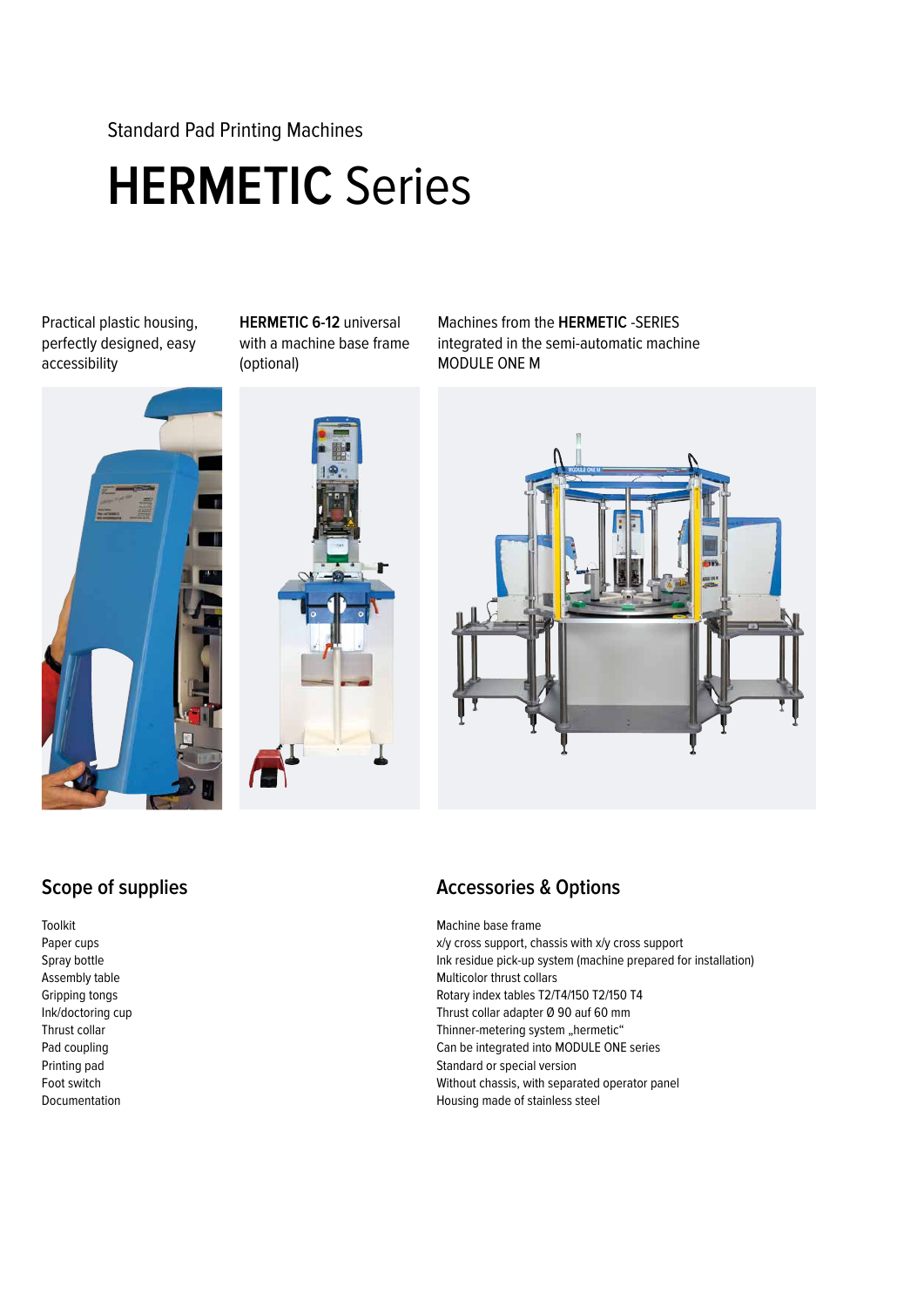### Standard Pad Printing Machines

# **HERMETIC** Series

Practical plastic housing, perfectly designed, easy accessibility

**HERMETIC 6-12** universal with a machine base frame (optional)





Machines from the **HERMETIC** -SERIES integrated in the semi-automatic machine MODULE ONE M



### **Scope of supplies**

Toolkit Paper cups Spray bottle Assembly table Gripping tongs Ink/doctoring cup Thrust collar Pad coupling Printing pad Foot switch Documentation

### **Accessories & Options**

Machine base frame x/y cross support, chassis with x/y cross support Ink residue pick-up system (machine prepared for installation) Multicolor thrust collars Rotary index tables T2/T4/150 T2/150 T4 Thrust collar adapter Ø 90 auf 60 mm Thinner-metering system "hermetic" Can be integrated into MODULE ONE series Standard or special version Without chassis, with separated operator panel Housing made of stainless steel